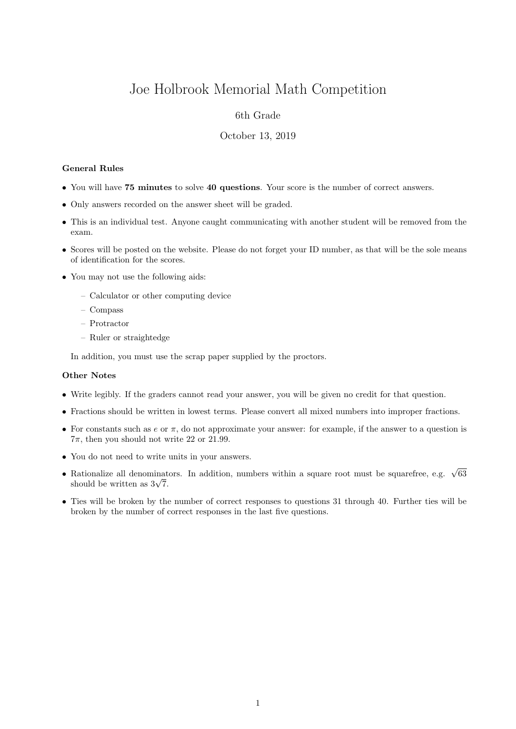# Joe Holbrook Memorial Math Competition

## 6th Grade

#### October 13, 2019

#### General Rules

- You will have 75 minutes to solve 40 questions. Your score is the number of correct answers.
- Only answers recorded on the answer sheet will be graded.
- This is an individual test. Anyone caught communicating with another student will be removed from the exam.
- Scores will be posted on the website. Please do not forget your ID number, as that will be the sole means of identification for the scores.
- You may not use the following aids:
	- Calculator or other computing device
	- Compass
	- Protractor
	- Ruler or straightedge

In addition, you must use the scrap paper supplied by the proctors.

### Other Notes

- Write legibly. If the graders cannot read your answer, you will be given no credit for that question.
- Fractions should be written in lowest terms. Please convert all mixed numbers into improper fractions.
- For constants such as  $e$  or  $\pi$ , do not approximate your answer: for example, if the answer to a question is  $7\pi$ , then you should not write 22 or 21.99.
- You do not need to write units in your answers.
- Rationalize all denominators. In addition, numbers within a square root must be squarefree, e.g.  $\sqrt{63}$ Rationalize all denominat<br>should be written as  $3\sqrt{7}$ .
- Ties will be broken by the number of correct responses to questions 31 through 40. Further ties will be broken by the number of correct responses in the last five questions.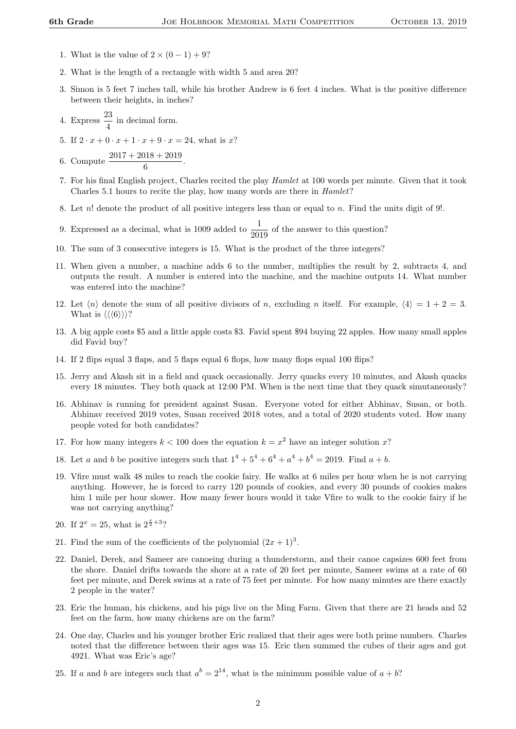- 1. What is the value of  $2 \times (0 1) + 9$ ?
- 2. What is the length of a rectangle with width 5 and area 20?
- 3. Simon is 5 feet 7 inches tall, while his brother Andrew is 6 feet 4 inches. What is the positive difference between their heights, in inches?
- 4. Express  $\frac{23}{4}$  in decimal form.
- 5. If  $2 \cdot x + 0 \cdot x + 1 \cdot x + 9 \cdot x = 24$ , what is x?
- 6. Compute  $\frac{2017 + 2018 + 2019}{6}$ .
- 7. For his final English project, Charles recited the play Hamlet at 100 words per minute. Given that it took Charles 5.1 hours to recite the play, how many words are there in Hamlet?
- 8. Let n! denote the product of all positive integers less than or equal to n. Find the units digit of 9!.
- 9. Expressed as a decimal, what is 1009 added to  $\frac{1}{2019}$  of the answer to this question?
- 10. The sum of 3 consecutive integers is 15. What is the product of the three integers?
- 11. When given a number, a machine adds 6 to the number, multiplies the result by 2, subtracts 4, and outputs the result. A number is entered into the machine, and the machine outputs 14. What number was entered into the machine?
- 12. Let  $\langle n \rangle$  denote the sum of all positive divisors of n, excluding n itself. For example,  $\langle 4 \rangle = 1 + 2 = 3$ . What is  $\langle \langle 6 \rangle \rangle$ ?
- 13. A big apple costs \$5 and a little apple costs \$3. Favid spent \$94 buying 22 apples. How many small apples did Favid buy?
- 14. If 2 flips equal 3 flaps, and 5 flaps equal 6 flops, how many flops equal 100 flips?
- 15. Jerry and Akash sit in a field and quack occasionally. Jerry quacks every 10 minutes, and Akash quacks every 18 minutes. They both quack at 12:00 PM. When is the next time that they quack simutaneously?
- 16. Abhinav is running for president against Susan. Everyone voted for either Abhinav, Susan, or both. Abhinav received 2019 votes, Susan received 2018 votes, and a total of 2020 students voted. How many people voted for both candidates?
- 17. For how many integers  $k < 100$  does the equation  $k = x^2$  have an integer solution x?
- 18. Let a and b be positive integers such that  $1^4 + 5^4 + 6^4 + a^4 + b^4 = 2019$ . Find  $a + b$ .
- 19. Vfire must walk 48 miles to reach the cookie fairy. He walks at 6 miles per hour when he is not carrying anything. However, he is forced to carry 120 pounds of cookies, and every 30 pounds of cookies makes him 1 mile per hour slower. How many fewer hours would it take Vfire to walk to the cookie fairy if he was not carrying anything?
- 20. If  $2^x = 25$ , what is  $2^{\frac{x}{2}+3}$ ?
- 21. Find the sum of the coefficients of the polynomial  $(2x+1)^3$ .
- 22. Daniel, Derek, and Sameer are canoeing during a thunderstorm, and their canoe capsizes 600 feet from the shore. Daniel drifts towards the shore at a rate of 20 feet per minute, Sameer swims at a rate of 60 feet per minute, and Derek swims at a rate of 75 feet per minute. For how many minutes are there exactly 2 people in the water?
- 23. Eric the human, his chickens, and his pigs live on the Ming Farm. Given that there are 21 heads and 52 feet on the farm, how many chickens are on the farm?
- 24. One day, Charles and his younger brother Eric realized that their ages were both prime numbers. Charles noted that the difference between their ages was 15. Eric then summed the cubes of their ages and got 4921. What was Eric's age?
- 25. If a and b are integers such that  $a^b = 2^{14}$ , what is the minimum possible value of  $a + b$ ?